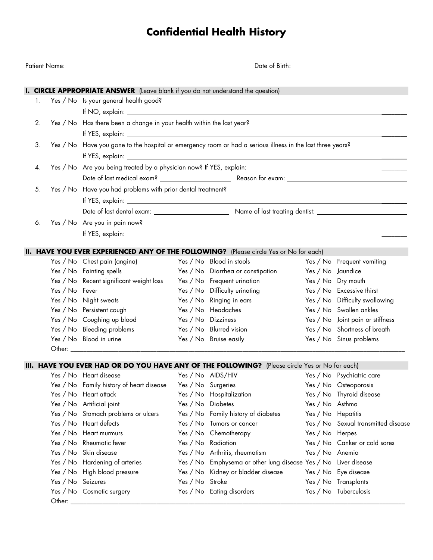# **Confidential Health History**

|                                                                                                                  |                   |                                                                                         | Date of Birth: <u>Alexander State of Birth</u> |                                                                                                |                    |                                     |  |  |
|------------------------------------------------------------------------------------------------------------------|-------------------|-----------------------------------------------------------------------------------------|------------------------------------------------|------------------------------------------------------------------------------------------------|--------------------|-------------------------------------|--|--|
|                                                                                                                  |                   | <b>I. CIRCLE APPROPRIATE ANSWER</b> (Leave blank if you do not understand the question) |                                                |                                                                                                |                    |                                     |  |  |
| 1.                                                                                                               |                   | Yes / No Is your general health good?                                                   |                                                |                                                                                                |                    |                                     |  |  |
|                                                                                                                  |                   |                                                                                         |                                                |                                                                                                |                    |                                     |  |  |
| 2.                                                                                                               |                   |                                                                                         |                                                |                                                                                                |                    |                                     |  |  |
|                                                                                                                  |                   | Yes / No Has there been a change in your health within the last year?                   |                                                |                                                                                                |                    |                                     |  |  |
| Yes / No Have you gone to the hospital or emergency room or had a serious illness in the last three years?<br>3. |                   |                                                                                         |                                                |                                                                                                |                    |                                     |  |  |
|                                                                                                                  |                   |                                                                                         |                                                |                                                                                                |                    |                                     |  |  |
| 4.                                                                                                               |                   |                                                                                         |                                                |                                                                                                |                    |                                     |  |  |
|                                                                                                                  |                   |                                                                                         |                                                |                                                                                                |                    |                                     |  |  |
|                                                                                                                  |                   |                                                                                         |                                                |                                                                                                |                    |                                     |  |  |
| 5.                                                                                                               |                   | Yes / No Have you had problems with prior dental treatment?                             |                                                |                                                                                                |                    |                                     |  |  |
|                                                                                                                  |                   |                                                                                         |                                                |                                                                                                |                    |                                     |  |  |
|                                                                                                                  |                   |                                                                                         |                                                |                                                                                                |                    |                                     |  |  |
| 6.                                                                                                               |                   | Yes / No Are you in pain now?                                                           |                                                |                                                                                                |                    |                                     |  |  |
|                                                                                                                  |                   |                                                                                         |                                                |                                                                                                |                    |                                     |  |  |
|                                                                                                                  |                   |                                                                                         |                                                | <b>II. HAVE YOU EVER EXPERIENCED ANY OF THE FOLLOWING?</b> (Please circle Yes or No for each)  |                    |                                     |  |  |
|                                                                                                                  |                   | Yes / No Chest pain (angina)                                                            |                                                | Yes / No Blood in stools                                                                       |                    | Yes / No Frequent vomiting          |  |  |
|                                                                                                                  |                   | Yes / No Fainting spells                                                                |                                                | Yes / No Diarrhea or constipation                                                              | Yes / No Jaundice  |                                     |  |  |
|                                                                                                                  |                   | Yes / No Recent significant weight loss                                                 |                                                | Yes / No Frequent urination                                                                    |                    | Yes / No Dry mouth                  |  |  |
|                                                                                                                  | Yes / No Fever    |                                                                                         |                                                | Yes / No Difficulty urinating                                                                  |                    | Yes / No Excessive thirst           |  |  |
|                                                                                                                  |                   | Yes / No Night sweats                                                                   |                                                | Yes / No Ringing in ears                                                                       |                    | Yes / No Difficulty swallowing      |  |  |
|                                                                                                                  |                   | Yes / No Persistent cough                                                               |                                                | Yes / No Headaches                                                                             |                    | Yes / No Swollen ankles             |  |  |
|                                                                                                                  |                   | Yes / No Coughing up blood                                                              |                                                | Yes / No Dizziness                                                                             |                    | Yes / No Joint pain or stiffness    |  |  |
|                                                                                                                  |                   | Yes / No Bleeding problems                                                              |                                                | Yes / No Blurred vision                                                                        |                    | Yes / No Shortness of breath        |  |  |
|                                                                                                                  |                   | Yes / No Blood in urine                                                                 |                                                | Yes / No Bruise easily                                                                         |                    | Yes / No Sinus problems             |  |  |
|                                                                                                                  |                   |                                                                                         |                                                |                                                                                                |                    |                                     |  |  |
|                                                                                                                  |                   |                                                                                         |                                                | III. HAVE YOU EVER HAD OR DO YOU HAVE ANY OF THE FOLLOWING? (Please circle Yes or No for each) |                    |                                     |  |  |
|                                                                                                                  |                   | Yes / No Heart disease                                                                  |                                                | Yes / No AIDS/HIV Yes / No Psychiatric care                                                    |                    |                                     |  |  |
|                                                                                                                  |                   | Yes / No Family history of heart disease                                                |                                                | Yes / No Surgeries                                                                             |                    | Yes / No Osteoporosis               |  |  |
|                                                                                                                  |                   | Yes / No Heart attack                                                                   |                                                | Yes / No Hospitalization                                                                       |                    | Yes / No Thyroid disease            |  |  |
|                                                                                                                  |                   | Yes / No Artificial joint                                                               | Yes / No Diabetes                              |                                                                                                | Yes / No Asthma    |                                     |  |  |
|                                                                                                                  |                   | Yes / No Stomach problems or ulcers                                                     |                                                | Yes / No Family history of diabetes                                                            | Yes / No Hepatitis |                                     |  |  |
|                                                                                                                  |                   | Yes / No Heart defects                                                                  |                                                | Yes / No Tumors or cancer                                                                      |                    | Yes / No Sexual transmitted disease |  |  |
|                                                                                                                  |                   | Yes / No Heart murmurs                                                                  |                                                | Yes / No Chemotherapy                                                                          | Yes / No Herpes    |                                     |  |  |
|                                                                                                                  |                   | Yes / No Rheumatic fever                                                                |                                                | Yes / No Radiation                                                                             |                    | Yes / No Canker or cold sores       |  |  |
|                                                                                                                  |                   | Yes / No Skin disease                                                                   |                                                | Yes / No Arthritis, rheumatism                                                                 | Yes / No Anemia    |                                     |  |  |
|                                                                                                                  |                   | Yes / No Hardening of arteries                                                          |                                                | Yes / No Emphysema or other lung disease Yes / No Liver disease                                |                    |                                     |  |  |
|                                                                                                                  |                   | Yes / No High blood pressure                                                            |                                                | Yes / No Kidney or bladder disease                                                             |                    | Yes / No Eye disease                |  |  |
|                                                                                                                  | Yes / No Seizures |                                                                                         | Yes / No Stroke                                |                                                                                                |                    | Yes / No Transplants                |  |  |
|                                                                                                                  |                   | Yes / No Cosmetic surgery                                                               |                                                | Yes / No Eating disorders                                                                      |                    | Yes / No Tuberculosis               |  |  |
|                                                                                                                  | Other: _          |                                                                                         |                                                |                                                                                                |                    |                                     |  |  |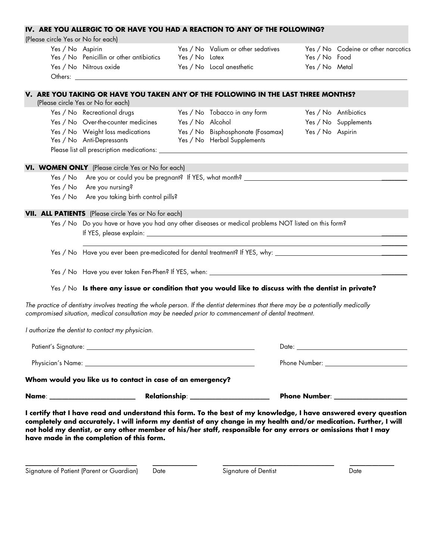#### **IV. ARE YOU ALLERGIC TO OR HAVE YOU HAD A REACTION TO ANY OF THE FOLLOWING?**

(Please circle Yes or No for each)

| Yes / No Aspirin |                                          |                | Yes / No Valium or other sedatives |                | Yes / No Codeine or other narcotics |
|------------------|------------------------------------------|----------------|------------------------------------|----------------|-------------------------------------|
|                  | Yes / No Penicillin or other antibiotics | Yes / No Latex |                                    | Yes / No Food  |                                     |
|                  | Yes / No Nitrous oxide                   |                | Yes / No Local anesthetic          | Yes / No Metal |                                     |
| Others:          |                                          |                |                                    |                |                                     |

## **V. ARE YOU TAKING OR HAVE YOU TAKEN ANY OF THE FOLLOWING IN THE LAST THREE MONTHS?**

| (Please circle Yes or No for each) |                                     |  |  |  |
|------------------------------------|-------------------------------------|--|--|--|
|                                    | Yes / No Recreational drugs         |  |  |  |
|                                    | Yes / No Over-the-counter medicines |  |  |  |
|                                    | Yes / No Weight loss medications    |  |  |  |
|                                    | Yes / No Anti-Depressants           |  |  |  |

- Yes / No Tobacco in any form Yes / No Antibiotics Yes / No Alcohol Yes / No Supplements Yes / No Bisphosphonate (Fosamax) Yes / No Aspirin Yes / No Herbal Supplements
	-

 $\frac{1}{2}$ 

Please list all prescription medications:

**VI. WOMEN ONLY** (Please circle Yes or No for each)

Yes / No Are you or could you be pregnant? If YES, what month? \_\_\_\_\_\_\_\_

Yes / No Are you nursing?

Yes / No Are you taking birth control pills?

#### **VII. ALL PATIENTS** (Please circle Yes or No for each)

Yes / No Do you have or have you had any other diseases or medical problems NOT listed on this form? If YES, please explain:

Yes / No Have you ever been pre-medicated for dental treatment? If YES, why: \_\_\_\_\_\_\_\_

Yes / No Have you ever taken Fen-Phen? If YES, when: \_\_\_\_\_\_\_\_\_\_\_\_\_\_\_\_\_\_\_\_\_\_\_\_\_\_\_

#### Yes / No **Is there any issue or condition that you would like to discuss with the dentist in private?**

*The practice of dentistry involves treating the whole person. If the dentist determines that there may be a potentially medically compromised situation, medical consultation may be needed prior to commencement of dental treatment.*

*I authorize the dentist to contact my physician.*

|                                                                                                                                                                                                                               | Date: the contract of the contract of the contract of the contract of the contract of the contract of the contract of the contract of the contract of the contract of the contract of the contract of the contract of the cont |  |  |  |  |
|-------------------------------------------------------------------------------------------------------------------------------------------------------------------------------------------------------------------------------|--------------------------------------------------------------------------------------------------------------------------------------------------------------------------------------------------------------------------------|--|--|--|--|
| Physician's Name: No. 2008. All and the state of the state of the state of the state of the state of the state of the state of the state of the state of the state of the state of the state of the state of the state of the | Phone Number: The Contract of the Contract of the Contract of the Contract of the Contract of the Contract of the Contract of the Contract of the Contract of the Contract of the Contract of the Contract of the Contract of  |  |  |  |  |
| Whom would you like us to contact in case of an emergency?                                                                                                                                                                    |                                                                                                                                                                                                                                |  |  |  |  |

**Name**: \_\_\_\_\_\_\_\_\_\_\_\_\_\_\_\_\_\_\_\_\_\_\_\_\_\_\_ **Relationship**: \_\_\_\_\_\_\_\_\_\_\_\_\_\_\_\_\_\_\_\_\_\_\_\_\_ **Phone Number**: \_\_\_\_\_\_\_\_\_\_\_\_\_\_\_\_\_\_\_\_\_\_\_

**I certify that I have read and understand this form. To the best of my knowledge, I have answered every question completely and accurately. I will inform my dentist of any change in my health and/or medication. Further, I will not hold my dentist, or any other member of his/her staff, responsible for any errors or omissions that I may have made in the completion of this form.**

\_\_\_\_\_\_\_\_\_\_\_\_\_\_\_\_\_\_\_\_\_\_\_\_\_\_\_\_\_\_\_\_\_\_\_ \_\_\_\_\_\_\_\_\_\_\_\_\_\_ \_\_\_\_\_\_\_\_\_\_\_\_\_\_\_\_\_\_\_\_\_\_\_\_\_\_\_\_\_\_\_\_\_\_\_ \_\_\_\_\_\_\_\_\_\_\_\_\_\_

Signature of Patient (Parent or Guardian) Date Signature of Dentist Charles Bate Charles Date